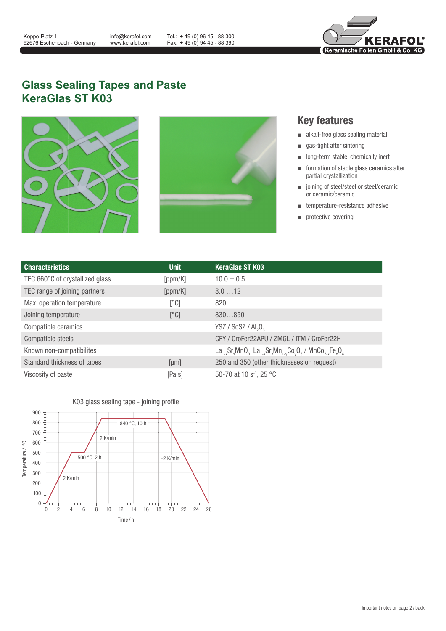info@kerafol.com www.kerafol.com

Tel.: + 49 (0) 96 45 - 88 300 Fax: + 49 (0) 94 45 - 88 390



## **Glass Sealing Tapes and Paste KeraGlas ST K03**





## **Key features**

- alkali-free glass sealing material
- gas-tight after sintering
- long-term stable, chemically inert
- formation of stable glass ceramics after partial crystallization
- joining of steel/steel or steel/ceramic or ceramic/ceramic
- temperature-resistance adhesive
- protective covering

| <b>Characteristics</b>          | <b>Unit</b>    | <b>KeraGlas ST K03</b>                                                                                                                                                                       |
|---------------------------------|----------------|----------------------------------------------------------------------------------------------------------------------------------------------------------------------------------------------|
| TEC 660°C of crystallized glass | [ppm/K]        | $10.0 \pm 0.5$                                                                                                                                                                               |
| TEC range of joining partners   | [ppm/K]        | 8.012                                                                                                                                                                                        |
| Max. operation temperature      | [°C]           | 820                                                                                                                                                                                          |
| Joining temperature             | [°C]           | 830850                                                                                                                                                                                       |
| Compatible ceramics             |                | YSZ / ScSZ / Al <sub>2</sub> O <sub>3</sub>                                                                                                                                                  |
| Compatible steels               |                | CFY / CroFer22APU / ZMGL / ITM / CroFer22H                                                                                                                                                   |
| Known non-compatibilites        |                | La <sub>1-x</sub> Sr <sub>x</sub> MnO <sub>3</sub> , La <sub>1-x</sub> Sr <sub>x</sub> Mn <sub>1-y</sub> Co <sub>v</sub> O <sub>3</sub> / MnCo <sub>2-x</sub> Fe <sub>x</sub> O <sub>4</sub> |
| Standard thickness of tapes     | [µm]           | 250 and 350 (other thicknesses on request)                                                                                                                                                   |
| Viscosity of paste              | $[Pa \cdot s]$ | 50-70 at 10 s <sup>-1</sup> , 25 °C                                                                                                                                                          |



K03 glass sealing tape - joining profile